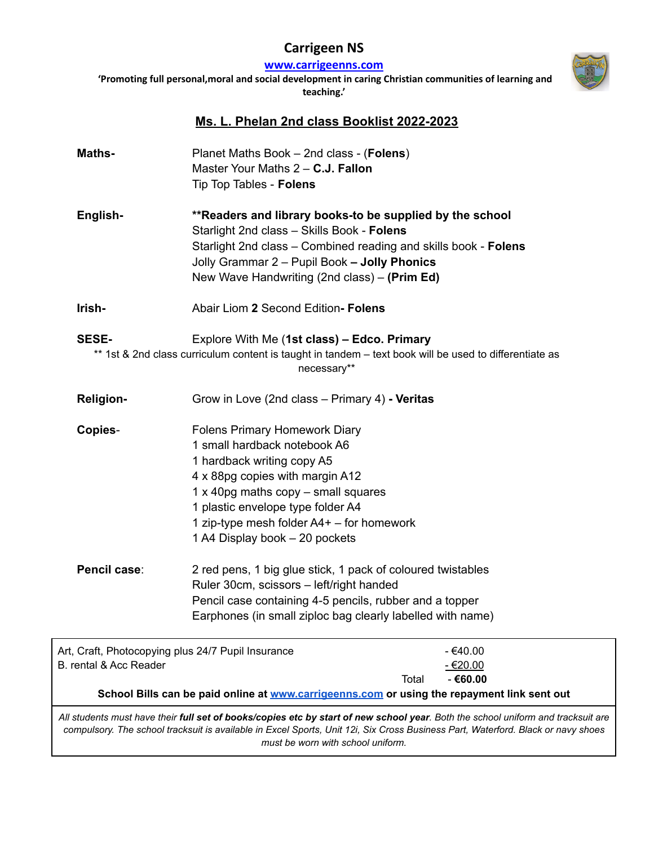## **Carrigeen NS**

**[www.carrigeenns.com](http://www.carrigeenns.com)**

**'Promoting full personal,moral and social development in caring Christian communities of learning and teaching.'**



## **Ms. L. Phelan 2nd class Booklist 2022-2023**

| Maths-                                                                                                                                                                      | Planet Maths Book - 2nd class - (Folens)<br>Master Your Maths 2 - C.J. Fallon<br>Tip Top Tables - Folens                                                                                                                                                                                           |       |                                     |
|-----------------------------------------------------------------------------------------------------------------------------------------------------------------------------|----------------------------------------------------------------------------------------------------------------------------------------------------------------------------------------------------------------------------------------------------------------------------------------------------|-------|-------------------------------------|
| English-                                                                                                                                                                    | ** Readers and library books-to be supplied by the school<br>Starlight 2nd class - Skills Book - Folens<br>Starlight 2nd class - Combined reading and skills book - Folens<br>Jolly Grammar 2 - Pupil Book - Jolly Phonics<br>New Wave Handwriting (2nd class) – (Prim Ed)                         |       |                                     |
| Irish-                                                                                                                                                                      | Abair Liom 2 Second Edition- Folens                                                                                                                                                                                                                                                                |       |                                     |
| SESE-                                                                                                                                                                       | Explore With Me (1st class) - Edco. Primary<br>** 1st & 2nd class curriculum content is taught in tandem - text book will be used to differentiate as<br>necessary**                                                                                                                               |       |                                     |
| <b>Religion-</b>                                                                                                                                                            | Grow in Love (2nd class – Primary 4) - Veritas                                                                                                                                                                                                                                                     |       |                                     |
| Copies-                                                                                                                                                                     | <b>Folens Primary Homework Diary</b><br>1 small hardback notebook A6<br>1 hardback writing copy A5<br>4 x 88pg copies with margin A12<br>1 x 40pg maths copy - small squares<br>1 plastic envelope type folder A4<br>1 zip-type mesh folder $A4+$ – for homework<br>1 A4 Display book - 20 pockets |       |                                     |
| Pencil case:                                                                                                                                                                | 2 red pens, 1 big glue stick, 1 pack of coloured twistables<br>Ruler 30cm, scissors - left/right handed<br>Pencil case containing 4-5 pencils, rubber and a topper<br>Earphones (in small ziploc bag clearly labelled with name)                                                                   |       |                                     |
| Art, Craft, Photocopying plus 24/7 Pupil Insurance<br>B. rental & Acc Reader<br>School Bills can be paid online at www.carrigeenns.com or using the repayment link sent out |                                                                                                                                                                                                                                                                                                    | Total | $-€40.00$<br>$-€20.00$<br>$-€60.00$ |
|                                                                                                                                                                             | All students must have their full set of books/copies etc by start of new school year. Both the school uniform and tracksuit are<br>compulsory. The school tracksuit is available in Excel Sports, Unit 12i, Six Cross Business Part, Waterford. Black or navy shoes                               |       |                                     |

*must be worn with school uniform.*